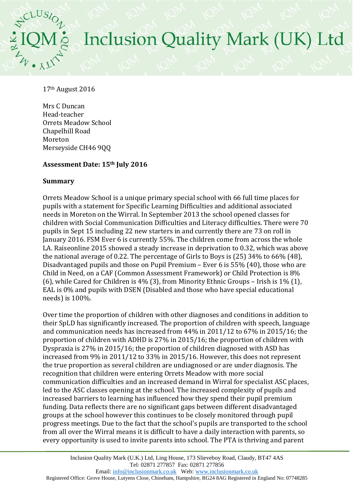# Inclusion Quality Mark (UK) Ltd

17th August 2016

Mrs C Duncan Head-teacher Orrets Meadow School Chapelhill Road Moreton Merseyside CH46 9QQ

# **Assessment Date: 15th July 2016**

## **Summary**

Orrets Meadow School is a unique primary special school with 66 full time places for pupils with a statement for Specific Learning Difficulties and additional associated needs in Moreton on the Wirral. In September 2013 the school opened classes for children with Social Communication Difficulties and Literacy difficulties. There were 70 pupils in Sept 15 including 22 new starters in and currently there are 73 on roll in January 2016. FSM Ever 6 is currently 55%. The children come from across the whole LA. Raiseonline 2015 showed a steady increase in deprivation to 0.32, which was above the national average of 0.22. The percentage of Girls to Boys is (25) 34% to 66% (48), Disadvantaged pupils and those on Pupil Premium – Ever 6 is 55% (40), those who are Child in Need, on a CAF (Common Assessment Framework) or Child Protection is 8% (6), while Cared for Children is 4% (3), from Minority Ethnic Groups – Irish is 1% (1), EAL is 0% and pupils with DSEN (Disabled and those who have special educational needs) is 100%.

Over time the proportion of children with other diagnoses and conditions in addition to their SpLD has significantly increased. The proportion of children with speech, language and communication needs has increased from 44% in 2011/12 to 67% in 2015/16; the proportion of children with ADHD is 27% in 2015/16; the proportion of children with Dyspraxia is 27% in 2015/16; the proportion of children diagnosed with ASD has increased from 9% in 2011/12 to 33% in 2015/16. However, this does not represent the true proportion as several children are undiagnosed or are under diagnosis. The recognition that children were entering Orrets Meadow with more social communication difficulties and an increased demand in Wirral for specialist ASC places, led to the ASC classes opening at the school. The increased complexity of pupils and increased barriers to learning has influenced how they spend their pupil premium funding. Data reflects there are no significant gaps between different disadvantaged groups at the school however this continues to be closely monitored through pupil progress meetings. Due to the fact that the school's pupils are transported to the school from all over the Wirral means it is difficult to have a daily interaction with parents, so every opportunity is used to invite parents into school. The PTA is thriving and parent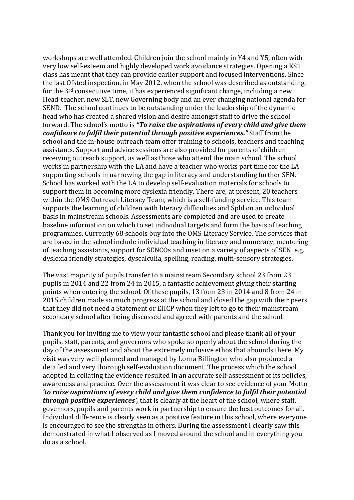workshops are well attended. Children join the school mainly in Y4 and Y5, often with very low self-esteem and highly developed work avoidance strategies. Opening a KS1 class has meant that they can provide earlier support and focused interventions. Since the last Ofsted inspection, in May 2012, when the school was described as outstanding, for the 3rd consecutive time, it has experienced significant change, including a new Head-teacher, new SLT, new Governing body and an ever changing national agenda for SEND. The school continues to be outstanding under the leadership of the dynamic head who has created a shared vision and desire amongst staff to drive the school forward. The school's motto is *"To raise the aspirations of every child and give them confidence to fulfil their potential through positive experiences."* Staff from the school and the in-house outreach team offer training to schools, teachers and teaching assistants. Support and advice sessions are also provided for parents of children receiving outreach support, as well as those who attend the main school. The school works in partnership with the LA and have a teacher who works part time for the LA supporting schools in narrowing the gap in literacy and understanding further SEN. School has worked with the LA to develop self-evaluation materials for schools to support them in becoming more dyslexia friendly. There are, at present, 20 teachers within the OMS Outreach Literacy Team, which is a self-funding service. This team supports the learning of children with literacy difficulties and Spld on an individual basis in mainstream schools. Assessments are completed and are used to create baseline information on which to set individual targets and form the basis of teaching programmes. Currently 68 schools buy into the OMS Literacy Service. The services that are based in the school include individual teaching in literacy and numeracy, mentoring of teaching assistants, support for SENCOs and inset on a variety of aspects of SEN. e.g. dyslexia friendly strategies, dyscalculia, spelling, reading, multi-sensory strategies.

The vast majority of pupils transfer to a mainstream Secondary school 23 from 23 pupils in 2014 and 22 from 24 in 2015, a fantastic achievement giving their starting points when entering the school. Of these pupils, 13 from 23 in 2014 and 8 from 24 in 2015 children made so much progress at the school and closed the gap with their peers that they did not need a Statement or EHCP when they left to go to their mainstream secondary school after being discussed and agreed with parents and the school.

Thank you for inviting me to view your fantastic school and please thank all of your pupils, staff, parents, and governors who spoke so openly about the school during the day of the assessment and about the extremely inclusive ethos that abounds there. My visit was very well planned and managed by Lorna Billington who also produced a detailed and very thorough self-evaluation document. The process which the school adopted in collating the evidence resulted in an accurate self-assessment of its policies, awareness and practice. Over the assessment it was clear to see evidence of your Motto *'to raise aspirations of every child and give them confidence to fulfil their potential through positive experiences',* that is clearly at the heart of the school, where staff, governors, pupils and parents work in partnership to ensure the best outcomes for all. Individual difference is clearly seen as a positive feature in this school, where everyone is encouraged to see the strengths in others. During the assessment I clearly saw this demonstrated in what I observed as I moved around the school and in everything you do as a school.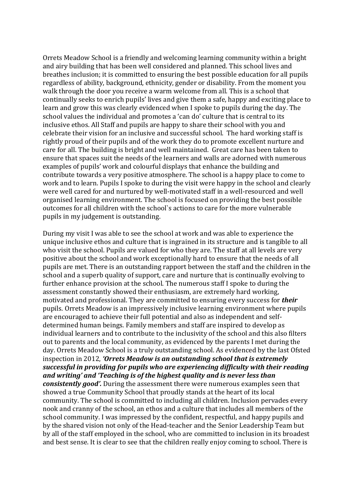Orrets Meadow School is a friendly and welcoming learning community within a bright and airy building that has been well considered and planned. This school lives and breathes inclusion; it is committed to ensuring the best possible education for all pupils regardless of ability, background, ethnicity, gender or disability. From the moment you walk through the door you receive a warm welcome from all. This is a school that continually seeks to enrich pupils' lives and give them a safe, happy and exciting place to learn and grow this was clearly evidenced when I spoke to pupils during the day. The school values the individual and promotes a 'can do' culture that is central to its inclusive ethos. All Staff and pupils are happy to share their school with you and celebrate their vision for an inclusive and successful school. The hard working staff is rightly proud of their pupils and of the work they do to promote excellent nurture and care for all. The building is bright and well maintained. Great care has been taken to ensure that spaces suit the needs of the learners and walls are adorned with numerous examples of pupils' work and colourful displays that enhance the building and contribute towards a very positive atmosphere. The school is a happy place to come to work and to learn. Pupils I spoke to during the visit were happy in the school and clearly were well cared for and nurtured by well-motivated staff in a well-resourced and well organised learning environment. The school is focused on providing the best possible outcomes for all children with the school`s actions to care for the more vulnerable pupils in my judgement is outstanding.

During my visit I was able to see the school at work and was able to experience the unique inclusive ethos and culture that is ingrained in its structure and is tangible to all who visit the school. Pupils are valued for who they are. The staff at all levels are very positive about the school and work exceptionally hard to ensure that the needs of all pupils are met. There is an outstanding rapport between the staff and the children in the school and a superb quality of support, care and nurture that is continually evolving to further enhance provision at the school. The numerous staff I spoke to during the assessment constantly showed their enthusiasm, are extremely hard working, motivated and professional. They are committed to ensuring every success for *their* pupils. Orrets Meadow is an impressively inclusive learning environment where pupils are encouraged to achieve their full potential and also as independent and selfdetermined human beings. Family members and staff are inspired to develop as individual learners and to contribute to the inclusivity of the school and this also filters out to parents and the local community, as evidenced by the parents I met during the day. Orrets Meadow School is a truly outstanding school. As evidenced by the last Ofsted inspection in 2012, *'Orrets Meadow is an outstanding school that is extremely successful in providing for pupils who are experiencing difficulty with their reading and writing' and 'Teaching is of the highest quality and is never less than consistently good'.* During the assessment there were numerous examples seen that showed a true Community School that proudly stands at the heart of its local community. The school is committed to including all children. Inclusion pervades every nook and cranny of the school, an ethos and a culture that includes all members of the school community. I was impressed by the confident, respectful, and happy pupils and by the shared vision not only of the Head-teacher and the Senior Leadership Team but by all of the staff employed in the school, who are committed to inclusion in its broadest and best sense. It is clear to see that the children really enjoy coming to school. There is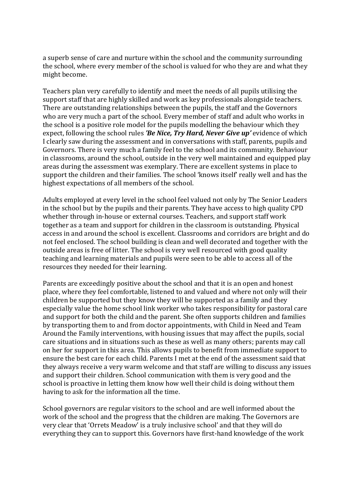a superb sense of care and nurture within the school and the community surrounding the school, where every member of the school is valued for who they are and what they might become.

Teachers plan very carefully to identify and meet the needs of all pupils utilising the support staff that are highly skilled and work as key professionals alongside teachers. There are outstanding relationships between the pupils, the staff and the Governors who are very much a part of the school. Every member of staff and adult who works in the school is a positive role model for the pupils modelling the behaviour which they expect, following the school rules *'Be Nice, Try Hard, Never Give up'* evidence of which I clearly saw during the assessment and in conversations with staff, parents, pupils and Governors. There is very much a family feel to the school and its community. Behaviour in classrooms, around the school, outside in the very well maintained and equipped play areas during the assessment was exemplary. There are excellent systems in place to support the children and their families. The school 'knows itself' really well and has the highest expectations of all members of the school.

Adults employed at every level in the school feel valued not only by The Senior Leaders in the school but by the pupils and their parents. They have access to high quality CPD whether through in-house or external courses. Teachers, and support staff work together as a team and support for children in the classroom is outstanding. Physical access in and around the school is excellent. Classrooms and corridors are bright and do not feel enclosed. The school building is clean and well decorated and together with the outside areas is free of litter. The school is very well resourced with good quality teaching and learning materials and pupils were seen to be able to access all of the resources they needed for their learning.

Parents are exceedingly positive about the school and that it is an open and honest place, where they feel comfortable, listened to and valued and where not only will their children be supported but they know they will be supported as a family and they especially value the home school link worker who takes responsibility for pastoral care and support for both the child and the parent. She often supports children and families by transporting them to and from doctor appointments, with Child in Need and Team Around the Family interventions, with housing issues that may affect the pupils, social care situations and in situations such as these as well as many others; parents may call on her for support in this area. This allows pupils to benefit from immediate support to ensure the best care for each child. Parents I met at the end of the assessment said that they always receive a very warm welcome and that staff are willing to discuss any issues and support their children. School communication with them is very good and the school is proactive in letting them know how well their child is doing without them having to ask for the information all the time.

School governors are regular visitors to the school and are well informed about the work of the school and the progress that the children are making. The Governors are very clear that 'Orrets Meadow' is a truly inclusive school' and that they will do everything they can to support this. Governors have first-hand knowledge of the work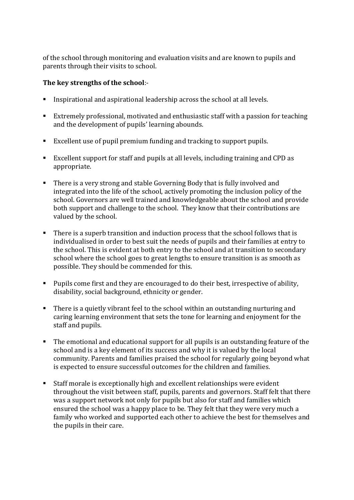of the school through monitoring and evaluation visits and are known to pupils and parents through their visits to school.

# **The key strengths of the school**:-

- Inspirational and aspirational leadership across the school at all levels.
- Extremely professional, motivated and enthusiastic staff with a passion for teaching and the development of pupils' learning abounds.
- Excellent use of pupil premium funding and tracking to support pupils.
- Excellent support for staff and pupils at all levels, including training and CPD as appropriate.
- **There is a very strong and stable Governing Body that is fully involved and** integrated into the life of the school, actively promoting the inclusion policy of the school. Governors are well trained and knowledgeable about the school and provide both support and challenge to the school. They know that their contributions are valued by the school.
- There is a superb transition and induction process that the school follows that is individualised in order to best suit the needs of pupils and their families at entry to the school. This is evident at both entry to the school and at transition to secondary school where the school goes to great lengths to ensure transition is as smooth as possible. They should be commended for this.
- **Pupils come first and they are encouraged to do their best, irrespective of ability,** disability, social background, ethnicity or gender.
- There is a quietly vibrant feel to the school within an outstanding nurturing and caring learning environment that sets the tone for learning and enjoyment for the staff and pupils.
- The emotional and educational support for all pupils is an outstanding feature of the school and is a key element of its success and why it is valued by the local community. Parents and families praised the school for regularly going beyond what is expected to ensure successful outcomes for the children and families.
- Staff morale is exceptionally high and excellent relationships were evident throughout the visit between staff, pupils, parents and governors. Staff felt that there was a support network not only for pupils but also for staff and families which ensured the school was a happy place to be. They felt that they were very much a family who worked and supported each other to achieve the best for themselves and the pupils in their care.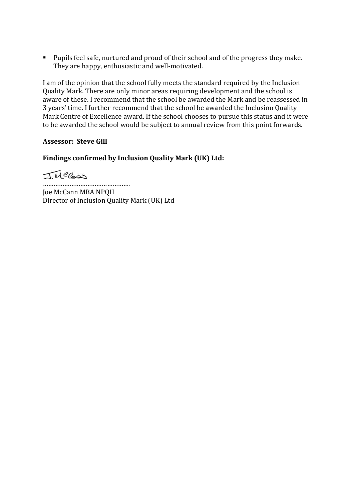Pupils feel safe, nurtured and proud of their school and of the progress they make. They are happy, enthusiastic and well-motivated.

I am of the opinion that the school fully meets the standard required by the Inclusion Quality Mark. There are only minor areas requiring development and the school is aware of these. I recommend that the school be awarded the Mark and be reassessed in 3 years' time. I further recommend that the school be awarded the Inclusion Quality Mark Centre of Excellence award. If the school chooses to pursue this status and it were to be awarded the school would be subject to annual review from this point forwards.

## **Assessor: Steve Gill**

# **Findings confirmed by Inclusion Quality Mark (UK) Ltd:**

TMCCas

…………………………………………. Joe McCann MBA NPQH Director of Inclusion Quality Mark (UK) Ltd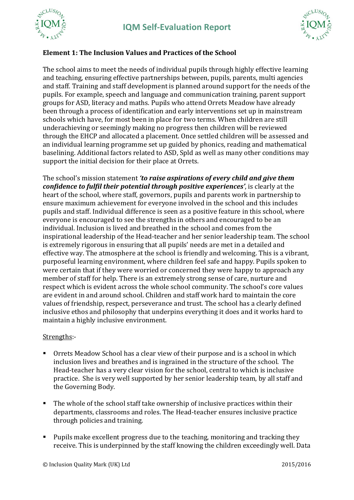





# **Element 1: The Inclusion Values and Practices of the School**

The school aims to meet the needs of individual pupils through highly effective learning and teaching, ensuring effective partnerships between, pupils, parents, multi agencies and staff. Training and staff development is planned around support for the needs of the pupils. For example, speech and language and communication training, parent support groups for ASD, literacy and maths. Pupils who attend Orrets Meadow have already been through a process of identification and early interventions set up in mainstream schools which have, for most been in place for two terms. When children are still underachieving or seemingly making no progress then children will be reviewed through the EHCP and allocated a placement. Once settled children will be assessed and an individual learning programme set up guided by phonics, reading and mathematical baselining. Additional factors related to ASD, Spld as well as many other conditions may support the initial decision for their place at Orrets.

The school's mission statement *'to raise aspirations of every child and give them confidence to fulfil their potential through positive experiences'*, is clearly at the heart of the school, where staff, governors, pupils and parents work in partnership to ensure maximum achievement for everyone involved in the school and this includes pupils and staff. Individual difference is seen as a positive feature in this school, where everyone is encouraged to see the strengths in others and encouraged to be an individual. Inclusion is lived and breathed in the school and comes from the inspirational leadership of the Head-teacher and her senior leadership team. The school is extremely rigorous in ensuring that all pupils' needs are met in a detailed and effective way. The atmosphere at the school is friendly and welcoming. This is a vibrant, purposeful learning environment, where children feel safe and happy. Pupils spoken to were certain that if they were worried or concerned they were happy to approach any member of staff for help. There is an extremely strong sense of care, nurture and respect which is evident across the whole school community. The school's core values are evident in and around school. Children and staff work hard to maintain the core values of friendship, respect, perseverance and trust. The school has a clearly defined inclusive ethos and philosophy that underpins everything it does and it works hard to maintain a highly inclusive environment.

#### Strengths:-

- Orrets Meadow School has a clear view of their purpose and is a school in which inclusion lives and breathes and is ingrained in the structure of the school. The Head-teacher has a very clear vision for the school, central to which is inclusive practice. She is very well supported by her senior leadership team, by all staff and the Governing Body.
- The whole of the school staff take ownership of inclusive practices within their departments, classrooms and roles. The Head-teacher ensures inclusive practice through policies and training.
- **Pupils make excellent progress due to the teaching, monitoring and tracking they** receive. This is underpinned by the staff knowing the children exceedingly well. Data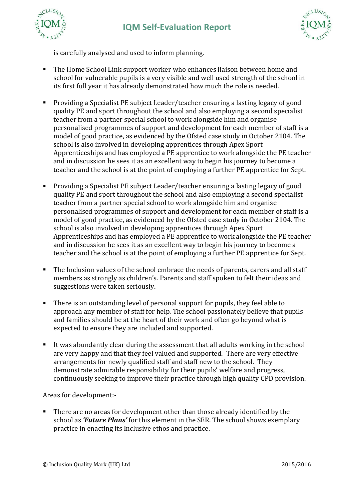



is carefully analysed and used to inform planning.

- The Home School Link support worker who enhances liaison between home and school for vulnerable pupils is a very visible and well used strength of the school in its first full year it has already demonstrated how much the role is needed.
- Providing a Specialist PE subject Leader/teacher ensuring a lasting legacy of good quality PE and sport throughout the school and also employing a second specialist teacher from a partner special school to work alongside him and organise personalised programmes of support and development for each member of staff is a model of good practice, as evidenced by the Ofsted case study in October 2104. The school is also involved in developing apprentices through Apex Sport Apprenticeships and has employed a PE apprentice to work alongside the PE teacher and in discussion he sees it as an excellent way to begin his journey to become a teacher and the school is at the point of employing a further PE apprentice for Sept.
- Providing a Specialist PE subject Leader/teacher ensuring a lasting legacy of good quality PE and sport throughout the school and also employing a second specialist teacher from a partner special school to work alongside him and organise personalised programmes of support and development for each member of staff is a model of good practice, as evidenced by the Ofsted case study in October 2104. The school is also involved in developing apprentices through Apex Sport Apprenticeships and has employed a PE apprentice to work alongside the PE teacher and in discussion he sees it as an excellent way to begin his journey to become a teacher and the school is at the point of employing a further PE apprentice for Sept.
- The Inclusion values of the school embrace the needs of parents, carers and all staff members as strongly as children's. Parents and staff spoken to felt their ideas and suggestions were taken seriously.
- There is an outstanding level of personal support for pupils, they feel able to approach any member of staff for help. The school passionately believe that pupils and families should be at the heart of their work and often go beyond what is expected to ensure they are included and supported.
- It was abundantly clear during the assessment that all adults working in the school are very happy and that they feel valued and supported. There are very effective arrangements for newly qualified staff and staff new to the school. They demonstrate admirable responsibility for their pupils' welfare and progress, continuously seeking to improve their practice through high quality CPD provision.

# Areas for development:-

There are no areas for development other than those already identified by the school as *'Future Plans'* for this element in the SER. The school shows exemplary practice in enacting its Inclusive ethos and practice.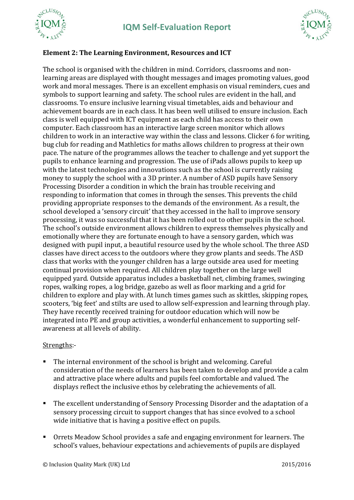





## **Element 2: The Learning Environment, Resources and ICT**

The school is organised with the children in mind. Corridors, classrooms and nonlearning areas are displayed with thought messages and images promoting values, good work and moral messages. There is an excellent emphasis on visual reminders, cues and symbols to support learning and safety. The school rules are evident in the hall, and classrooms. To ensure inclusive learning visual timetables, aids and behaviour and achievement boards are in each class. It has been well utilised to ensure inclusion. Each class is well equipped with ICT equipment as each child has access to their own computer. Each classroom has an interactive large screen monitor which allows children to work in an interactive way within the class and lessons. Clicker 6 for writing, bug club for reading and Mathletics for maths allows children to progress at their own pace. The nature of the programmes allows the teacher to challenge and yet support the pupils to enhance learning and progression. The use of iPads allows pupils to keep up with the latest technologies and innovations such as the school is currently raising money to supply the school with a 3D printer. A number of ASD pupils have Sensory Processing Disorder a condition in which the brain has trouble receiving and responding to information that comes in through the senses. This prevents the child providing appropriate responses to the demands of the environment. As a result, the school developed a 'sensory circuit' that they accessed in the hall to improve sensory processing, it was so successful that it has been rolled out to other pupils in the school. The school's outside environment allows children to express themselves physically and emotionally where they are fortunate enough to have a sensory garden, which was designed with pupil input, a beautiful resource used by the whole school. The three ASD classes have direct access to the outdoors where they grow plants and seeds. The ASD class that works with the younger children has a large outside area used for meeting continual provision when required. All children play together on the large well equipped yard. Outside apparatus includes a basketball net, climbing frames, swinging ropes, walking ropes, a log bridge, gazebo as well as floor marking and a grid for children to explore and play with. At lunch times games such as skittles, skipping ropes, scooters, 'big feet' and stilts are used to allow self-expression and learning through play. They have recently received training for outdoor education which will now be integrated into PE and group activities, a wonderful enhancement to supporting selfawareness at all levels of ability.

#### Strengths:-

- The internal environment of the school is bright and welcoming. Careful consideration of the needs of learners has been taken to develop and provide a calm and attractive place where adults and pupils feel comfortable and valued. The displays reflect the inclusive ethos by celebrating the achievements of all.
- **The excellent understanding of Sensory Processing Disorder and the adaptation of a** sensory processing circuit to support changes that has since evolved to a school wide initiative that is having a positive effect on pupils.
- Orrets Meadow School provides a safe and engaging environment for learners. The school's values, behaviour expectations and achievements of pupils are displayed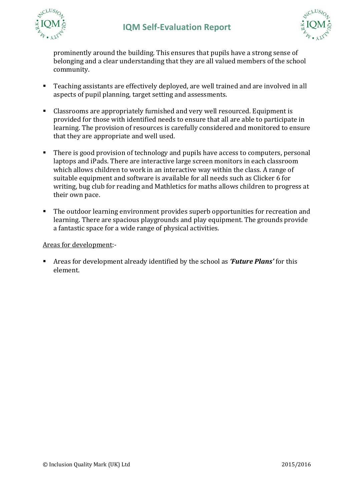



prominently around the building. This ensures that pupils have a strong sense of belonging and a clear understanding that they are all valued members of the school community.

- Teaching assistants are effectively deployed, are well trained and are involved in all aspects of pupil planning, target setting and assessments.
- Classrooms are appropriately furnished and very well resourced. Equipment is provided for those with identified needs to ensure that all are able to participate in learning. The provision of resources is carefully considered and monitored to ensure that they are appropriate and well used.
- There is good provision of technology and pupils have access to computers, personal laptops and iPads. There are interactive large screen monitors in each classroom which allows children to work in an interactive way within the class. A range of suitable equipment and software is available for all needs such as Clicker 6 for writing, bug club for reading and Mathletics for maths allows children to progress at their own pace.
- The outdoor learning environment provides superb opportunities for recreation and learning. There are spacious playgrounds and play equipment. The grounds provide a fantastic space for a wide range of physical activities.

## Areas for development:-

 Areas for development already identified by the school as *'Future Plans'* for this element.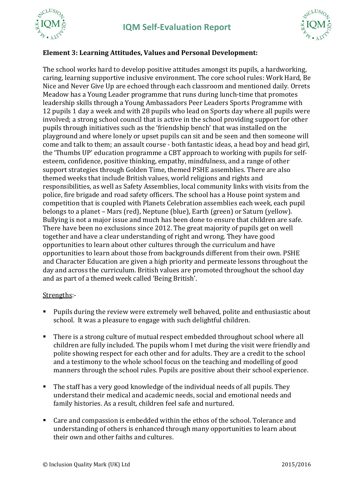





# **Element 3: Learning Attitudes, Values and Personal Development:**

The school works hard to develop positive attitudes amongst its pupils, a hardworking, caring, learning supportive inclusive environment. The core school rules: Work Hard, Be Nice and Never Give Up are echoed through each classroom and mentioned daily. Orrets Meadow has a Young Leader programme that runs during lunch-time that promotes leadership skills through a Young Ambassadors Peer Leaders Sports Programme with 12 pupils 1 day a week and with 28 pupils who lead on Sports day where all pupils were involved; a strong school council that is active in the school providing support for other pupils through initiatives such as the 'friendship bench' that was installed on the playground and where lonely or upset pupils can sit and be seen and then someone will come and talk to them; an assault course - both fantastic ideas, a head boy and head girl, the 'Thumbs UP' education programme a CBT approach to working with pupils for selfesteem, confidence, positive thinking, empathy, mindfulness, and a range of other support strategies through Golden Time, themed PSHE assemblies. There are also themed weeks that include British values, world religions and rights and responsibilities, as well as Safety Assemblies, local community links with visits from the police, fire brigade and road safety officers. The school has a House point system and competition that is coupled with Planets Celebration assemblies each week, each pupil belongs to a planet – Mars (red), Neptune (blue), Earth (green) or Saturn (yellow). Bullying is not a major issue and much has been done to ensure that children are safe. There have been no exclusions since 2012. The great majority of pupils get on well together and have a clear understanding of right and wrong. They have good opportunities to learn about other cultures through the curriculum and have opportunities to learn about those from backgrounds different from their own. PSHE and Character Education are given a high priority and permeate lessons throughout the day and across the curriculum. British values are promoted throughout the school day and as part of a themed week called 'Being British'.

## Strengths:-

- Pupils during the review were extremely well behaved, polite and enthusiastic about school. It was a pleasure to engage with such delightful children.
- There is a strong culture of mutual respect embedded throughout school where all children are fully included. The pupils whom I met during the visit were friendly and polite showing respect for each other and for adults. They are a credit to the school and a testimony to the whole school focus on the teaching and modelling of good manners through the school rules. Pupils are positive about their school experience.
- The staff has a very good knowledge of the individual needs of all pupils. They understand their medical and academic needs, social and emotional needs and family histories. As a result, children feel safe and nurtured.
- Care and compassion is embedded within the ethos of the school. Tolerance and understanding of others is enhanced through many opportunities to learn about their own and other faiths and cultures.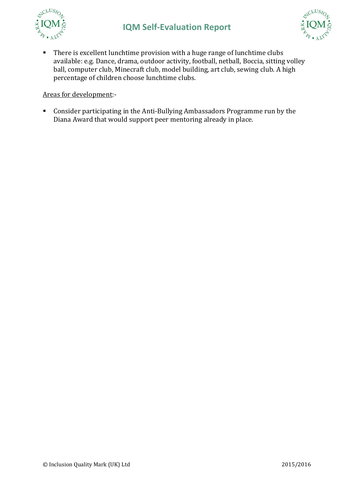



• There is excellent lunchtime provision with a huge range of lunchtime clubs available: e.g. Dance, drama, outdoor activity, football, netball, Boccia, sitting volley ball, computer club, Minecraft club, model building, art club, sewing club. A high percentage of children choose lunchtime clubs.

## Areas for development:-

 Consider participating in the Anti-Bullying Ambassadors Programme run by the Diana Award that would support peer mentoring already in place.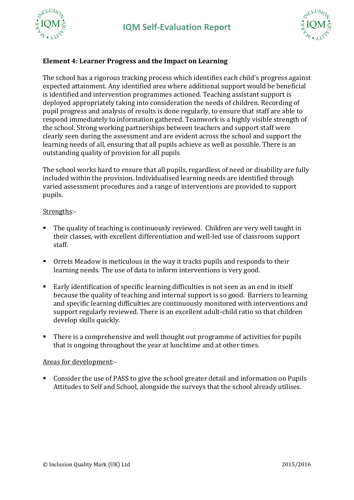



# **Element 4: Learner Progress and the Impact on Learning**

The school has a rigorous tracking process which identifies each child's progress against expected attainment. Any identified area where additional support would be beneficial is identified and intervention programmes actioned. Teaching assistant support is deployed appropriately taking into consideration the needs of children. Recording of pupil progress and analysis of results is done regularly, to ensure that staff are able to respond immediately to information gathered. Teamwork is a highly visible strength of the school. Strong working partnerships between teachers and support staff were clearly seen during the assessment and are evident across the school and support the learning needs of all, ensuring that all pupils achieve as well as possible. There is an outstanding quality of provision for all pupils

The school works hard to ensure that all pupils, regardless of need or disability are fully included within the provision. Individualised learning needs are identified through varied assessment procedures and a range of interventions are provided to support pupils.

#### Strengths:-

- The quality of teaching is continuously reviewed. Children are very well taught in their classes, with excellent differentiation and well-led use of classroom support staff.
- Orrets Meadow is meticulous in the way it tracks pupils and responds to their learning needs. The use of data to inform interventions is very good.
- Early identification of specific learning difficulties is not seen as an end in itself because the quality of teaching and internal support is so good. Barriers to learning and specific learning difficulties are continuously monitored with interventions and support regularly reviewed. There is an excellent adult-child ratio so that children develop skills quickly.
- There is a comprehensive and well thought out programme of activities for pupils that is ongoing throughout the year at lunchtime and at other times.

#### Areas for development:-

 Consider the use of PASS to give the school greater detail and information on Pupils Attitudes to Self and School, alongside the surveys that the school already utilises.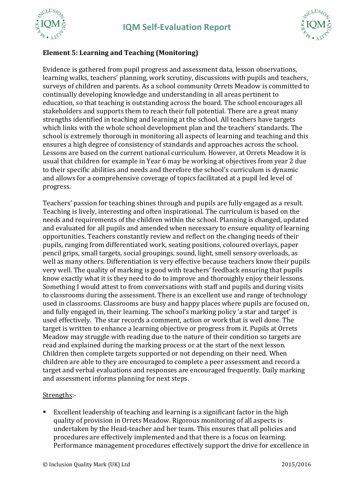





# **Element 5: Learning and Teaching (Monitoring)**

Evidence is gathered from pupil progress and assessment data, lesson observations, learning walks, teachers' planning, work scrutiny, discussions with pupils and teachers, surveys of children and parents. As a school community Orrets Meadow is committed to continually developing knowledge and understanding in all areas pertinent to education, so that teaching is outstanding across the board. The school encourages all stakeholders and supports them to reach their full potential. There are a great many strengths identified in teaching and learning at the school. All teachers have targets which links with the whole school development plan and the teachers' standards. The school is extremely thorough in monitoring all aspects of learning and teaching and this ensures a high degree of consistency of standards and approaches across the school. Lessons are based on the current national curriculum. However, at Orrets Meadow it is usual that children for example in Year 6 may be working at objectives from year 2 due to their specific abilities and needs and therefore the school's curriculum is dynamic and allows for a comprehensive coverage of topics facilitated at a pupil led level of progress.

Teachers' passion for teaching shines through and pupils are fully engaged as a result. Teaching is lively, interesting and often inspirational. The curriculum is based on the needs and requirements of the children within the school. Planning is changed, updated and evaluated for all pupils and amended when necessary to ensure equality of learning opportunities. Teachers constantly review and reflect on the changing needs of their pupils, ranging from differentiated work, seating positions, coloured overlays, paper pencil grips, small targets, social groupings, sound, light, smell sensory overloads, as well as many others. Differentiation is very effective because teachers know their pupils very well. The quality of marking is good with teachers' feedback ensuring that pupils know exactly what it is they need to do to improve and thoroughly enjoy their lessons. Something I would attest to from conversations with staff and pupils and during visits to classrooms during the assessment. There is an excellent use and range of technology used in classrooms. Classrooms are busy and happy places where pupils are focused on, and fully engaged in, their learning. The school's marking policy 'a star and target' is used effectively. The star records a comment, action or work that is well done. The target is written to enhance a learning objective or progress from it. Pupils at Orrets Meadow may struggle with reading due to the nature of their condition so targets are read and explained during the marking process or at the start of the next lesson. Children then complete targets supported or not depending on their need. When children are able to they are encouraged to complete a peer assessment and record a target and verbal evaluations and responses are encouraged frequently. Daily marking and assessment informs planning for next steps.

## Strengths:-

 Excellent leadership of teaching and learning is a significant factor in the high quality of provision in Orrets Meadow. Rigorous monitoring of all aspects is undertaken by the Head-teacher and her team. This ensures that all policies and procedures are effectively implemented and that there is a focus on learning. Performance management procedures effectively support the drive for excellence in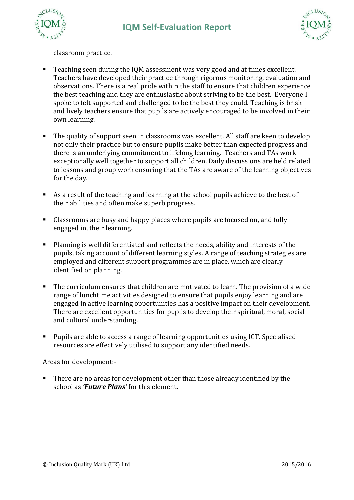



classroom practice.

- Teaching seen during the IQM assessment was very good and at times excellent. Teachers have developed their practice through rigorous monitoring, evaluation and observations. There is a real pride within the staff to ensure that children experience the best teaching and they are enthusiastic about striving to be the best. Everyone I spoke to felt supported and challenged to be the best they could. Teaching is brisk and lively teachers ensure that pupils are actively encouraged to be involved in their own learning.
- The quality of support seen in classrooms was excellent. All staff are keen to develop not only their practice but to ensure pupils make better than expected progress and there is an underlying commitment to lifelong learning. Teachers and TAs work exceptionally well together to support all children. Daily discussions are held related to lessons and group work ensuring that the TAs are aware of the learning objectives for the day.
- As a result of the teaching and learning at the school pupils achieve to the best of their abilities and often make superb progress.
- Classrooms are busy and happy places where pupils are focused on, and fully engaged in, their learning.
- Planning is well differentiated and reflects the needs, ability and interests of the pupils, taking account of different learning styles. A range of teaching strategies are employed and different support programmes are in place, which are clearly identified on planning.
- The curriculum ensures that children are motivated to learn. The provision of a wide range of lunchtime activities designed to ensure that pupils enjoy learning and are engaged in active learning opportunities has a positive impact on their development. There are excellent opportunities for pupils to develop their spiritual, moral, social and cultural understanding.
- Pupils are able to access a range of learning opportunities using ICT. Specialised resources are effectively utilised to support any identified needs.

#### Areas for development:-

There are no areas for development other than those already identified by the school as *'Future Plans'* for this element.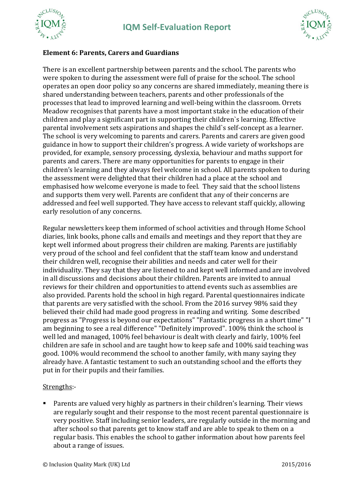



# **Element 6: Parents, Carers and Guardians**

There is an excellent partnership between parents and the school. The parents who were spoken to during the assessment were full of praise for the school. The school operates an open door policy so any concerns are shared immediately, meaning there is shared understanding between teachers, parents and other professionals of the processes that lead to improved learning and well-being within the classroom. Orrets Meadow recognises that parents have a most important stake in the education of their children and play a significant part in supporting their children`s learning. Effective parental involvement sets aspirations and shapes the child`s self-concept as a learner. The school is very welcoming to parents and carers. Parents and carers are given good guidance in how to support their children's progress. A wide variety of workshops are provided, for example, sensory processing, dyslexia, behaviour and maths support for parents and carers. There are many opportunities for parents to engage in their children's learning and they always feel welcome in school. All parents spoken to during the assessment were delighted that their children had a place at the school and emphasised how welcome everyone is made to feel. They said that the school listens and supports them very well. Parents are confident that any of their concerns are addressed and feel well supported. They have access to relevant staff quickly, allowing early resolution of any concerns.

Regular newsletters keep them informed of school activities and through Home School diaries, link books, phone calls and emails and meetings and they report that they are kept well informed about progress their children are making. Parents are justifiably very proud of the school and feel confident that the staff team know and understand their children well, recognise their abilities and needs and cater well for their individuality. They say that they are listened to and kept well informed and are involved in all discussions and decisions about their children. Parents are invited to annual reviews for their children and opportunities to attend events such as assemblies are also provided. Parents hold the school in high regard. Parental questionnaires indicate that parents are very satisfied with the school. From the 2016 survey 98% said they believed their child had made good progress in reading and writing. Some described progress as "Progress is beyond our expectations" "Fantastic progress in a short time" "I am beginning to see a real difference" "Definitely improved". 100% think the school is well led and managed, 100% feel behaviour is dealt with clearly and fairly, 100% feel children are safe in school and are taught how to keep safe and 100% said teaching was good. 100% would recommend the school to another family, with many saying they already have. A fantastic testament to such an outstanding school and the efforts they put in for their pupils and their families.

## Strengths:-

 Parents are valued very highly as partners in their children's learning. Their views are regularly sought and their response to the most recent parental questionnaire is very positive. Staff including senior leaders, are regularly outside in the morning and after school so that parents get to know staff and are able to speak to them on a regular basis. This enables the school to gather information about how parents feel about a range of issues.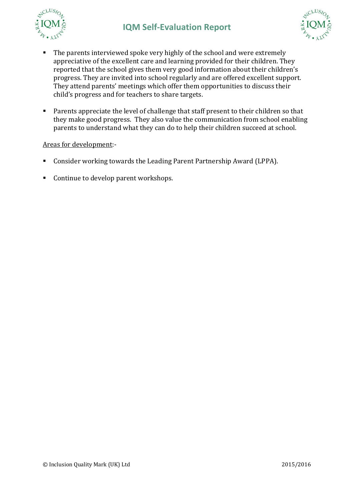



- The parents interviewed spoke very highly of the school and were extremely appreciative of the excellent care and learning provided for their children. They reported that the school gives them very good information about their children's progress. They are invited into school regularly and are offered excellent support. They attend parents' meetings which offer them opportunities to discuss their child's progress and for teachers to share targets.
- **Parents appreciate the level of challenge that staff present to their children so that** they make good progress. They also value the communication from school enabling parents to understand what they can do to help their children succeed at school.

## Areas for development:-

- Consider working towards the Leading Parent Partnership Award (LPPA).
- Continue to develop parent workshops.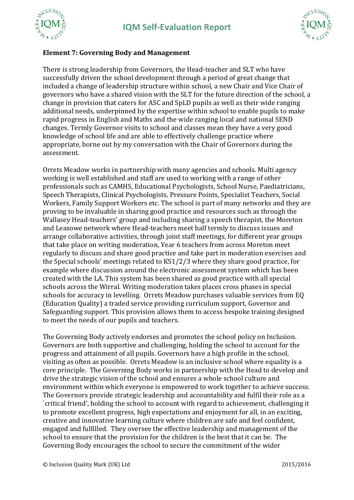





## **Element 7: Governing Body and Management**

There is strong leadership from Governors, the Head-teacher and SLT who have successfully driven the school development through a period of great change that included a change of leadership structure within school, a new Chair and Vice Chair of governors who have a shared vision with the SLT for the future direction of the school, a change in provision that caters for ASC and SpLD pupils as well as their wide ranging additional needs, underpinned by the expertise within school to enable pupils to make rapid progress in English and Maths and the wide ranging local and national SEND changes. Termly Governor visits to school and classes mean they have a very good knowledge of school life and are able to effectively challenge practice where appropriate, borne out by my conversation with the Chair of Governors during the assessment.

Orrets Meadow works in partnership with many agencies and schools. Multi agency working is well established and staff are used to working with a range of other professionals such as CAMHS, Educational Psychologists, School Nurse, Paediatricians, Speech Therapists, Clinical Psychologists, Pressure Points, Specialist Teachers, Social Workers, Family Support Workers etc. The school is part of many networks and they are proving to be invaluable in sharing good practice and resources such as through the Wallasey Head-teachers' group and including sharing a speech therapist, the Moreton and Leasowe network where Head-teachers meet half termly to discuss issues and arrange collaborative activities, through joint staff meetings, for different year groups that take place on writing moderation, Year 6 teachers from across Moreton meet regularly to discuss and share good practice and take part in moderation exercises and the Special schools' meetings related to KS1/2/3 where they share good practice, for example where discussion around the electronic assessment system which has been created with the LA. This system has been shared as good practice with all special schools across the Wirral. Writing moderation takes places cross phases in special schools for accuracy in levelling. Orrets Meadow purchases valuable services from EQ (Education Quality) a traded service providing curriculum support, Governor and Safeguarding support. This provision allows them to access bespoke training designed to meet the needs of our pupils and teachers.

The Governing Body actively endorses and promotes the school policy on Inclusion. Governors are both supportive and challenging, holding the school to account for the progress and attainment of all pupils. Governors have a high profile in the school, visiting as often as possible. Orrets Meadow is an inclusive school where equality is a core principle. The Governing Body works in partnership with the Head to develop and drive the strategic vision of the school and ensures a whole school culture and environment within which everyone is empowered to work together to achieve success. The Governors provide strategic leadership and accountability and fulfil their role as a `critical friend', holding the school to account with regard to achievement, challenging it to promote excellent progress, high expectations and enjoyment for all, in an exciting, creative and innovative learning culture where children are safe and feel confident, engaged and fulfilled. They oversee the effective leadership and management of the school to ensure that the provision for the children is the best that it can be. The Governing Body encourages the school to secure the commitment of the wider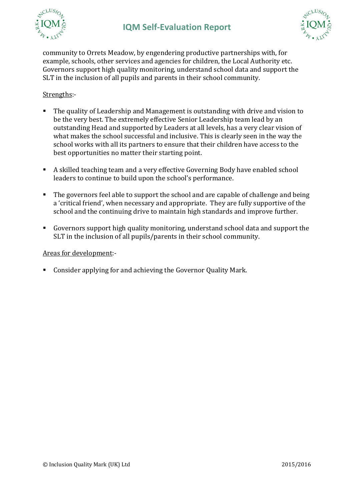



community to Orrets Meadow, by engendering productive partnerships with, for example, schools, other services and agencies for children, the Local Authority etc. Governors support high quality monitoring, understand school data and support the SLT in the inclusion of all pupils and parents in their school community.

## Strengths:-

- The quality of Leadership and Management is outstanding with drive and vision to be the very best. The extremely effective Senior Leadership team lead by an outstanding Head and supported by Leaders at all levels, has a very clear vision of what makes the school successful and inclusive. This is clearly seen in the way the school works with all its partners to ensure that their children have access to the best opportunities no matter their starting point.
- A skilled teaching team and a very effective Governing Body have enabled school leaders to continue to build upon the school's performance.
- The governors feel able to support the school and are capable of challenge and being a 'critical friend', when necessary and appropriate. They are fully supportive of the school and the continuing drive to maintain high standards and improve further.
- Governors support high quality monitoring, understand school data and support the SLT in the inclusion of all pupils/parents in their school community.

#### Areas for development:-

Consider applying for and achieving the Governor Quality Mark.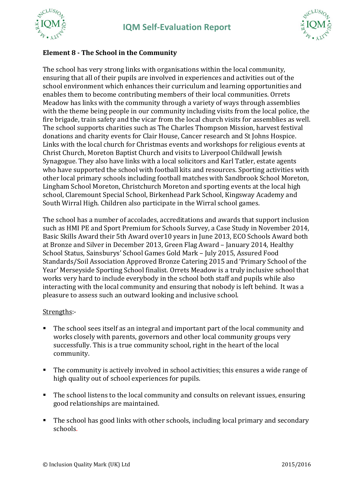



# **Element 8 - The School in the Community**

The school has very strong links with organisations within the local community, ensuring that all of their pupils are involved in experiences and activities out of the school environment which enhances their curriculum and learning opportunities and enables them to become contributing members of their local communities. Orrets Meadow has links with the community through a variety of ways through assemblies with the theme being people in our community including visits from the local police, the fire brigade, train safety and the vicar from the local church visits for assemblies as well. The school supports charities such as The Charles Thompson Mission, harvest festival donations and charity events for Clair House, Cancer research and St Johns Hospice. Links with the local church for Christmas events and workshops for religious events at Christ Church, Moreton Baptist Church and visits to Liverpool Childwall Jewish Synagogue. They also have links with a local solicitors and Karl Tatler, estate agents who have supported the school with football kits and resources. Sporting activities with other local primary schools including football matches with Sandbrook School Moreton, Lingham School Moreton, Christchurch Moreton and sporting events at the local high school, Claremount Special School, Birkenhead Park School, Kingsway Academy and South Wirral High. Children also participate in the Wirral school games.

The school has a number of accolades, accreditations and awards that support inclusion such as HMI PE and Sport Premium for Schools Survey, a Case Study in November 2014, Basic Skills Award their 5th Award over10 years in June 2013, ECO Schools Award both at Bronze and Silver in December 2013, Green Flag Award – January 2014, Healthy School Status, Sainsburys' School Games Gold Mark – July 2015, Assured Food Standards/Soil Association Approved Bronze Catering 2015 and 'Primary School of the Year' Merseyside Sporting School finalist. Orrets Meadow is a truly inclusive school that works very hard to include everybody in the school both staff and pupils while also interacting with the local community and ensuring that nobody is left behind. It was a pleasure to assess such an outward looking and inclusive school.

## Strengths:-

- The school sees itself as an integral and important part of the local community and works closely with parents, governors and other local community groups very successfully. This is a true community school, right in the heart of the local community.
- The community is actively involved in school activities; this ensures a wide range of high quality out of school experiences for pupils.
- The school listens to the local community and consults on relevant issues, ensuring good relationships are maintained.
- The school has good links with other schools, including local primary and secondary schools.